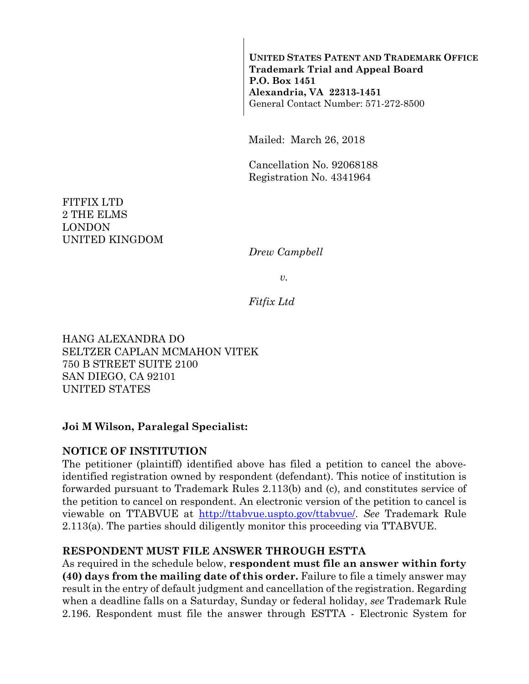**UNITED STATES PATENT AND TRADEMARK OFFICE Trademark Trial and Appeal Board P.O. Box 1451 Alexandria, VA 22313-1451**  General Contact Number: 571-272-8500

Mailed: March 26, 2018

Cancellation No. 92068188 Registration No. 4341964

FITFIX LTD 2 THE ELMS LONDON UNITED KINGDOM

*Drew Campbell* 

*v.* 

*Fitfix Ltd* 

HANG ALEXANDRA DO SELTZER CAPLAN MCMAHON VITEK 750 B STREET SUITE 2100 SAN DIEGO, CA 92101 UNITED STATES

#### **Joi M Wilson, Paralegal Specialist:**

#### **NOTICE OF INSTITUTION**

The petitioner (plaintiff) identified above has filed a petition to cancel the aboveidentified registration owned by respondent (defendant). This notice of institution is forwarded pursuant to Trademark Rules 2.113(b) and (c), and constitutes service of the petition to cancel on respondent. An electronic version of the petition to cancel is viewable on TTABVUE at http://ttabvue.uspto.gov/ttabvue/. *See* Trademark Rule 2.113(a). The parties should diligently monitor this proceeding via TTABVUE.

#### **RESPONDENT MUST FILE ANSWER THROUGH ESTTA**

As required in the schedule below, **respondent must file an answer within forty (40) days from the mailing date of this order.** Failure to file a timely answer may result in the entry of default judgment and cancellation of the registration. Regarding when a deadline falls on a Saturday, Sunday or federal holiday, *see* Trademark Rule 2.196. Respondent must file the answer through ESTTA - Electronic System for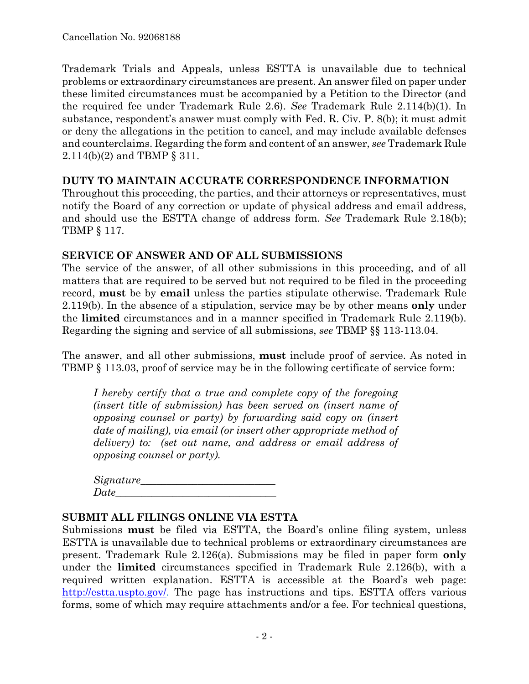Trademark Trials and Appeals, unless ESTTA is unavailable due to technical problems or extraordinary circumstances are present. An answer filed on paper under these limited circumstances must be accompanied by a Petition to the Director (and the required fee under Trademark Rule 2.6). *See* Trademark Rule 2.114(b)(1). In substance, respondent's answer must comply with Fed. R. Civ. P. 8(b); it must admit or deny the allegations in the petition to cancel, and may include available defenses and counterclaims. Regarding the form and content of an answer, *see* Trademark Rule 2.114(b)(2) and TBMP § 311.

## **DUTY TO MAINTAIN ACCURATE CORRESPONDENCE INFORMATION**

Throughout this proceeding, the parties, and their attorneys or representatives, must notify the Board of any correction or update of physical address and email address, and should use the ESTTA change of address form. *See* Trademark Rule 2.18(b); TBMP § 117.

## **SERVICE OF ANSWER AND OF ALL SUBMISSIONS**

The service of the answer, of all other submissions in this proceeding, and of all matters that are required to be served but not required to be filed in the proceeding record, **must** be by **email** unless the parties stipulate otherwise. Trademark Rule 2.119(b). In the absence of a stipulation, service may be by other means **only** under the **limited** circumstances and in a manner specified in Trademark Rule 2.119(b). Regarding the signing and service of all submissions, *see* TBMP §§ 113-113.04.

The answer, and all other submissions, **must** include proof of service. As noted in TBMP § 113.03, proof of service may be in the following certificate of service form:

*I hereby certify that a true and complete copy of the foregoing (insert title of submission) has been served on (insert name of opposing counsel or party) by forwarding said copy on (insert date of mailing), via email (or insert other appropriate method of delivery) to: (set out name, and address or email address of opposing counsel or party).* 

| Signature_ |  |  |
|------------|--|--|
| Date       |  |  |

## **SUBMIT ALL FILINGS ONLINE VIA ESTTA**

Submissions **must** be filed via ESTTA, the Board's online filing system, unless ESTTA is unavailable due to technical problems or extraordinary circumstances are present. Trademark Rule 2.126(a). Submissions may be filed in paper form **only** under the **limited** circumstances specified in Trademark Rule 2.126(b), with a required written explanation. ESTTA is accessible at the Board's web page: http://estta.uspto.gov/. The page has instructions and tips. ESTTA offers various forms, some of which may require attachments and/or a fee. For technical questions,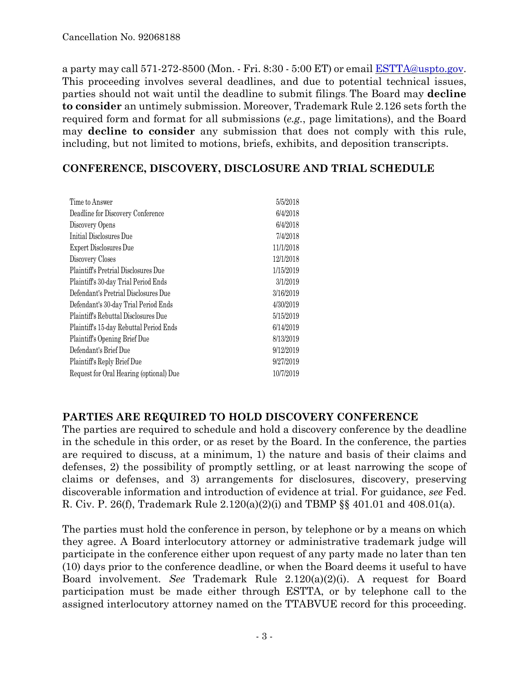a party may call 571-272-8500 (Mon. - Fri. 8:30 - 5:00 ET) or email ESTTA@uspto.gov. This proceeding involves several deadlines, and due to potential technical issues, parties should not wait until the deadline to submit filings. The Board may **decline to consider** an untimely submission. Moreover, Trademark Rule 2.126 sets forth the required form and format for all submissions (*e.g.*, page limitations), and the Board may **decline to consider** any submission that does not comply with this rule, including, but not limited to motions, briefs, exhibits, and deposition transcripts.

## **CONFERENCE, DISCOVERY, DISCLOSURE AND TRIAL SCHEDULE**

| Time to Answer                          | 5/5/2018  |
|-----------------------------------------|-----------|
| Deadline for Discovery Conference       | 6/4/2018  |
| Discovery Opens                         | 6/4/2018  |
| Initial Disclosures Due                 | 7/4/2018  |
| Expert Disclosures Due                  | 11/1/2018 |
| Discovery Closes                        | 12/1/2018 |
| Plaintiff's Pretrial Disclosures Due    | 1/15/2019 |
| Plaintiff's 30-day Trial Period Ends    | 3/1/2019  |
| Defendant's Pretrial Disclosures Due    | 3/16/2019 |
| Defendant's 30-day Trial Period Ends    | 4/30/2019 |
| Plaintiff's Rebuttal Disclosures Due    | 5/15/2019 |
| Plaintiff's 15-day Rebuttal Period Ends | 6/14/2019 |
| Plaintiff's Opening Brief Due           | 8/13/2019 |
| Defendant's Brief Due                   | 9/12/2019 |
| Plaintiff's Reply Brief Due             | 9/27/2019 |
| Request for Oral Hearing (optional) Due | 10/7/2019 |
|                                         |           |

## **PARTIES ARE REQUIRED TO HOLD DISCOVERY CONFERENCE**

The parties are required to schedule and hold a discovery conference by the deadline in the schedule in this order, or as reset by the Board. In the conference, the parties are required to discuss, at a minimum, 1) the nature and basis of their claims and defenses, 2) the possibility of promptly settling, or at least narrowing the scope of claims or defenses, and 3) arrangements for disclosures, discovery, preserving discoverable information and introduction of evidence at trial. For guidance, *see* Fed. R. Civ. P. 26(f), Trademark Rule 2.120(a)(2)(i) and TBMP §§ 401.01 and 408.01(a).

The parties must hold the conference in person, by telephone or by a means on which they agree. A Board interlocutory attorney or administrative trademark judge will participate in the conference either upon request of any party made no later than ten (10) days prior to the conference deadline, or when the Board deems it useful to have Board involvement. *See* Trademark Rule 2.120(a)(2)(i). A request for Board participation must be made either through ESTTA, or by telephone call to the assigned interlocutory attorney named on the TTABVUE record for this proceeding.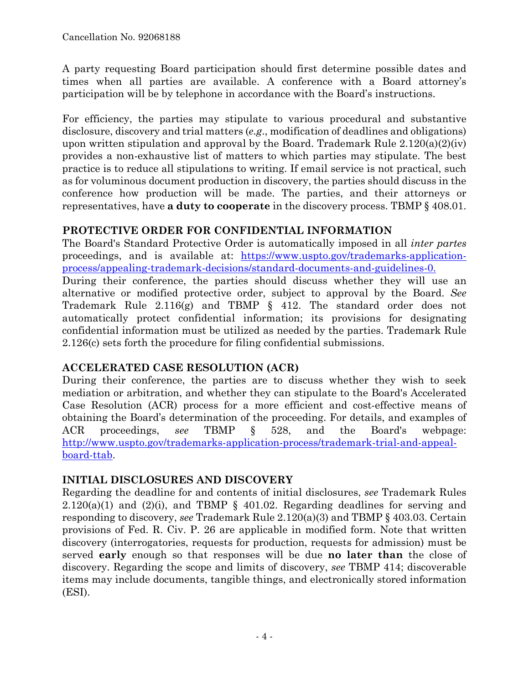A party requesting Board participation should first determine possible dates and times when all parties are available. A conference with a Board attorney's participation will be by telephone in accordance with the Board's instructions.

For efficiency, the parties may stipulate to various procedural and substantive disclosure, discovery and trial matters (*e.g*., modification of deadlines and obligations) upon written stipulation and approval by the Board. Trademark Rule  $2.120(a)(2)(iv)$ provides a non-exhaustive list of matters to which parties may stipulate. The best practice is to reduce all stipulations to writing. If email service is not practical, such as for voluminous document production in discovery, the parties should discuss in the conference how production will be made. The parties, and their attorneys or representatives, have **a duty to cooperate** in the discovery process. TBMP § 408.01.

## **PROTECTIVE ORDER FOR CONFIDENTIAL INFORMATION**

The Board's Standard Protective Order is automatically imposed in all *inter partes* proceedings, and is available at: https://www.uspto.gov/trademarks-applicationprocess/appealing-trademark-decisions/standard-documents-and-guidelines-0. During their conference, the parties should discuss whether they will use an alternative or modified protective order, subject to approval by the Board. *See* Trademark Rule 2.116(g) and TBMP § 412. The standard order does not automatically protect confidential information; its provisions for designating confidential information must be utilized as needed by the parties. Trademark Rule 2.126(c) sets forth the procedure for filing confidential submissions.

# **ACCELERATED CASE RESOLUTION (ACR)**

During their conference, the parties are to discuss whether they wish to seek mediation or arbitration, and whether they can stipulate to the Board's Accelerated Case Resolution (ACR) process for a more efficient and cost-effective means of obtaining the Board's determination of the proceeding. For details, and examples of ACR proceedings, *see* TBMP § 528, and the Board's webpage: http://www.uspto.gov/trademarks-application-process/trademark-trial-and-appealboard-ttab.

## **INITIAL DISCLOSURES AND DISCOVERY**

Regarding the deadline for and contents of initial disclosures, *see* Trademark Rules  $2.120(a)(1)$  and  $(2)(i)$ , and TBMP § 401.02. Regarding deadlines for serving and responding to discovery, *see* Trademark Rule 2.120(a)(3) and TBMP § 403.03. Certain provisions of Fed. R. Civ. P. 26 are applicable in modified form. Note that written discovery (interrogatories, requests for production, requests for admission) must be served **early** enough so that responses will be due **no later than** the close of discovery. Regarding the scope and limits of discovery, *see* TBMP 414; discoverable items may include documents, tangible things, and electronically stored information (ESI).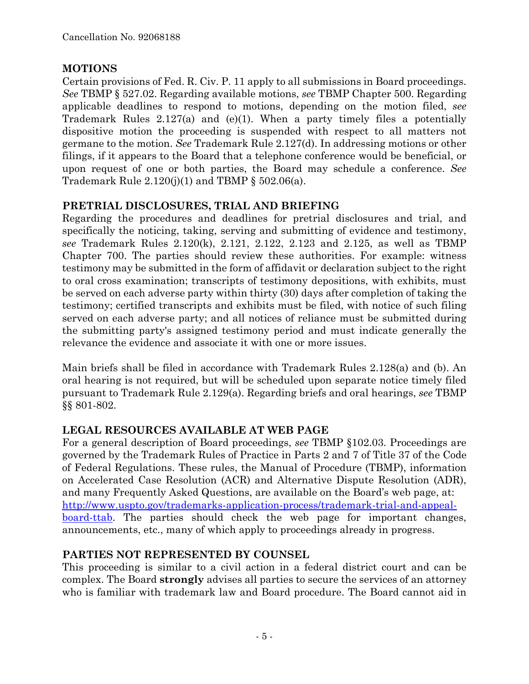## **MOTIONS**

Certain provisions of Fed. R. Civ. P. 11 apply to all submissions in Board proceedings. *See* TBMP § 527.02. Regarding available motions, *see* TBMP Chapter 500. Regarding applicable deadlines to respond to motions, depending on the motion filed, *see* Trademark Rules 2.127(a) and (e)(1). When a party timely files a potentially dispositive motion the proceeding is suspended with respect to all matters not germane to the motion. *See* Trademark Rule 2.127(d). In addressing motions or other filings, if it appears to the Board that a telephone conference would be beneficial, or upon request of one or both parties, the Board may schedule a conference. *See* Trademark Rule  $2.120(j)(1)$  and TBMP §  $502.06(a)$ .

## **PRETRIAL DISCLOSURES, TRIAL AND BRIEFING**

Regarding the procedures and deadlines for pretrial disclosures and trial, and specifically the noticing, taking, serving and submitting of evidence and testimony, *see* Trademark Rules 2.120(k), 2.121, 2.122, 2.123 and 2.125, as well as TBMP Chapter 700. The parties should review these authorities. For example: witness testimony may be submitted in the form of affidavit or declaration subject to the right to oral cross examination; transcripts of testimony depositions, with exhibits, must be served on each adverse party within thirty (30) days after completion of taking the testimony; certified transcripts and exhibits must be filed, with notice of such filing served on each adverse party; and all notices of reliance must be submitted during the submitting party's assigned testimony period and must indicate generally the relevance the evidence and associate it with one or more issues.

Main briefs shall be filed in accordance with Trademark Rules 2.128(a) and (b). An oral hearing is not required, but will be scheduled upon separate notice timely filed pursuant to Trademark Rule 2.129(a). Regarding briefs and oral hearings, *see* TBMP §§ 801-802.

# **LEGAL RESOURCES AVAILABLE AT WEB PAGE**

For a general description of Board proceedings, *see* TBMP §102.03. Proceedings are governed by the Trademark Rules of Practice in Parts 2 and 7 of Title 37 of the Code of Federal Regulations. These rules, the Manual of Procedure (TBMP), information on Accelerated Case Resolution (ACR) and Alternative Dispute Resolution (ADR), and many Frequently Asked Questions, are available on the Board's web page, at: http://www.uspto.gov/trademarks-application-process/trademark-trial-and-appealboard-ttab. The parties should check the web page for important changes, announcements, etc., many of which apply to proceedings already in progress.

# **PARTIES NOT REPRESENTED BY COUNSEL**

This proceeding is similar to a civil action in a federal district court and can be complex. The Board **strongly** advises all parties to secure the services of an attorney who is familiar with trademark law and Board procedure. The Board cannot aid in